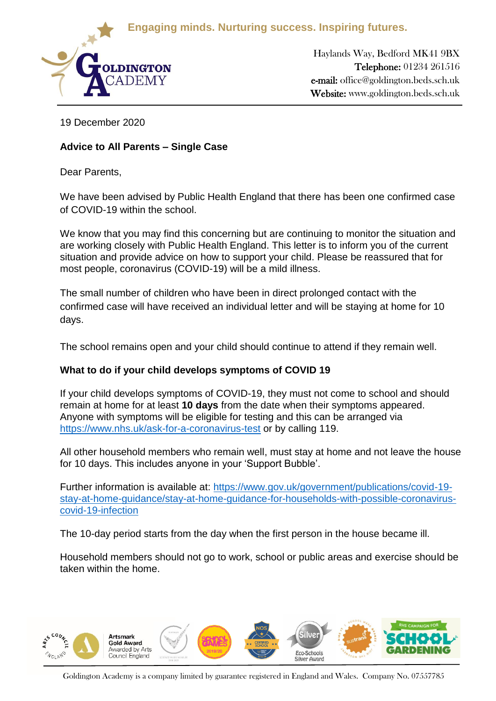**Engaging minds. Nurturing success. Inspiring futures.**



Haylands Way, Bedford MK41 9BX Telephone: 01234 261516 e-mail: office@goldington.beds.sch.uk Website: www.goldington.beds.sch.uk

Principal: Mr. Francis Galbraith BSc (Hons), NPQH, MBA

19 December 2020

# **Advice to All Parents – Single Case**

Dear Parents,

We have been advised by Public Health England that there has been one confirmed case of COVID-19 within the school.

We know that you may find this concerning but are continuing to monitor the situation and are working closely with Public Health England. This letter is to inform you of the current situation and provide advice on how to support your child. Please be reassured that for most people, coronavirus (COVID-19) will be a mild illness.

The small number of children who have been in direct prolonged contact with the confirmed case will have received an individual letter and will be staying at home for 10 days.

The school remains open and your child should continue to attend if they remain well.

# **What to do if your child develops symptoms of COVID 19**

If your child develops symptoms of COVID-19, they must not come to school and should remain at home for at least **10 days** from the date when their symptoms appeared. Anyone with symptoms will be eligible for testing and this can be arranged via <https://www.nhs.uk/ask-for-a-coronavirus-test> or by calling 119.

All other household members who remain well, must stay at home and not leave the house for 10 days. This includes anyone in your 'Support Bubble'.

Further information is available at: [https://www.gov.uk/government/publications/covid-19](https://www.gov.uk/government/publications/covid-19-stay-at-home-guidance/stay-at-home-guidance-for-households-with-possible-coronavirus-covid-19-infection) [stay-at-home-guidance/stay-at-home-guidance-for-households-with-possible-coronavirus](https://www.gov.uk/government/publications/covid-19-stay-at-home-guidance/stay-at-home-guidance-for-households-with-possible-coronavirus-covid-19-infection)[covid-19-infection](https://www.gov.uk/government/publications/covid-19-stay-at-home-guidance/stay-at-home-guidance-for-households-with-possible-coronavirus-covid-19-infection)

The 10-day period starts from the day when the first person in the house became ill.

Household members should not go to work, school or public areas and exercise should be taken within the home.